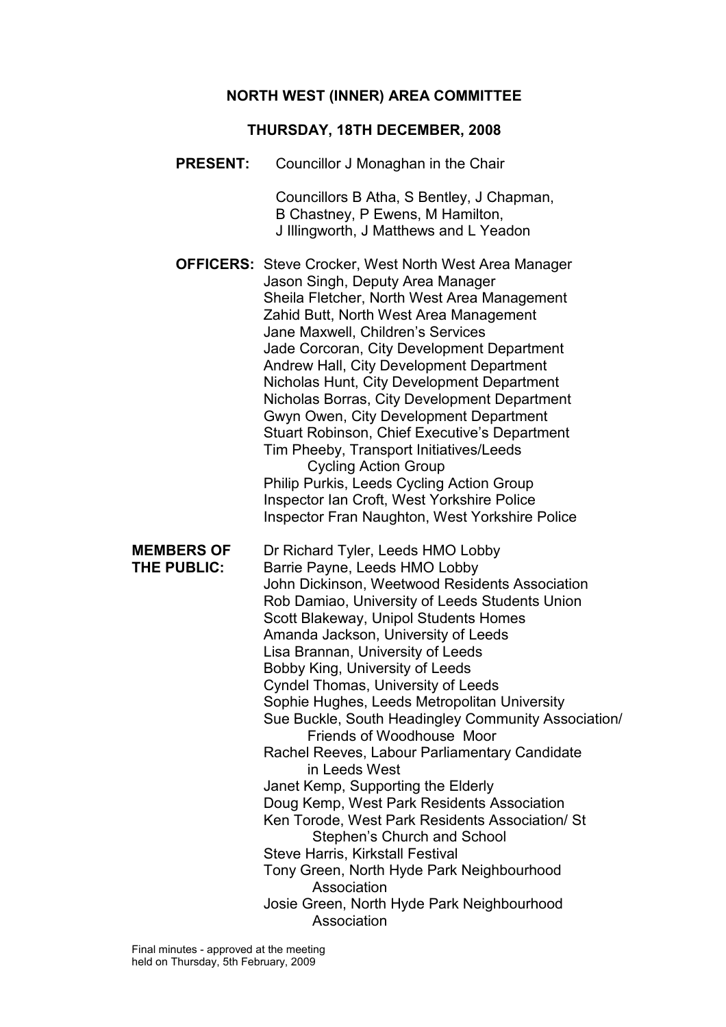### NORTH WEST (INNER) AREA COMMITTEE

#### THURSDAY, 18TH DECEMBER, 2008

PRESENT: Councillor J Monaghan in the Chair

 Councillors B Atha, S Bentley, J Chapman, B Chastney, P Ewens, M Hamilton, J Illingworth, J Matthews and L Yeadon

OFFICERS: Steve Crocker, West North West Area Manager Jason Singh, Deputy Area Manager Sheila Fletcher, North West Area Management Zahid Butt, North West Area Management Jane Maxwell, Children's Services Jade Corcoran, City Development Department Andrew Hall, City Development Department Nicholas Hunt, City Development Department Nicholas Borras, City Development Department Gwyn Owen, City Development Department Stuart Robinson, Chief Executive's Department Tim Pheeby, Transport Initiatives/Leeds Cycling Action Group

 Philip Purkis, Leeds Cycling Action Group Inspector Ian Croft, West Yorkshire Police Inspector Fran Naughton, West Yorkshire Police

MEMBERS OF Dr Richard Tyler, Leeds HMO Lobby THE PUBLIC: Barrie Payne, Leeds HMO Lobby John Dickinson, Weetwood Residents Association Rob Damiao, University of Leeds Students Union Scott Blakeway, Unipol Students Homes Amanda Jackson, University of Leeds Lisa Brannan, University of Leeds Bobby King, University of Leeds Cyndel Thomas, University of Leeds Sophie Hughes, Leeds Metropolitan University Sue Buckle, South Headingley Community Association/ Friends of Woodhouse Moor Rachel Reeves, Labour Parliamentary Candidate in Leeds West Janet Kemp, Supporting the Elderly Doug Kemp, West Park Residents Association Ken Torode, West Park Residents Association/ St Stephen's Church and School Steve Harris, Kirkstall Festival Tony Green, North Hyde Park Neighbourhood **Association** Josie Green, North Hyde Park Neighbourhood Association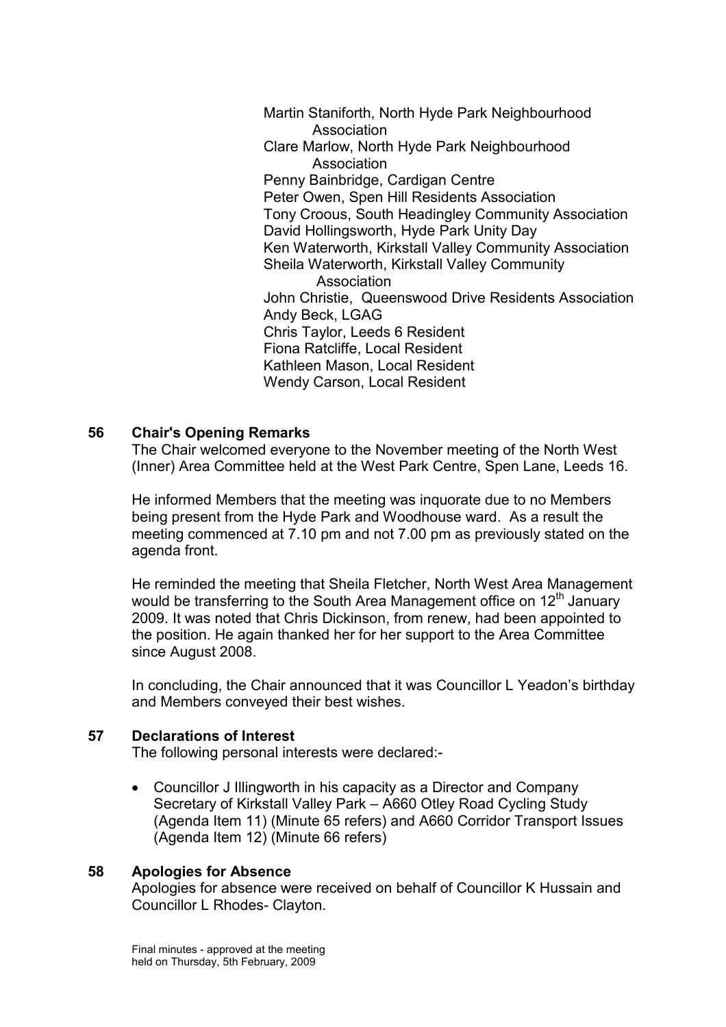Martin Staniforth, North Hyde Park Neighbourhood Association Clare Marlow, North Hyde Park Neighbourhood Association Penny Bainbridge, Cardigan Centre Peter Owen, Spen Hill Residents Association Tony Croous, South Headingley Community Association David Hollingsworth, Hyde Park Unity Day Ken Waterworth, Kirkstall Valley Community Association Sheila Waterworth, Kirkstall Valley Community Association John Christie, Queenswood Drive Residents Association Andy Beck, LGAG Chris Taylor, Leeds 6 Resident Fiona Ratcliffe, Local Resident Kathleen Mason, Local Resident Wendy Carson, Local Resident

### 56 Chair's Opening Remarks

The Chair welcomed everyone to the November meeting of the North West (Inner) Area Committee held at the West Park Centre, Spen Lane, Leeds 16.

He informed Members that the meeting was inquorate due to no Members being present from the Hyde Park and Woodhouse ward. As a result the meeting commenced at 7.10 pm and not 7.00 pm as previously stated on the agenda front.

He reminded the meeting that Sheila Fletcher, North West Area Management would be transferring to the South Area Management office on  $12<sup>th</sup>$  January 2009. It was noted that Chris Dickinson, from renew, had been appointed to the position. He again thanked her for her support to the Area Committee since August 2008.

In concluding, the Chair announced that it was Councillor L Yeadon's birthday and Members conveyed their best wishes.

### 57 Declarations of Interest

The following personal interests were declared:-

• Councillor J Illingworth in his capacity as a Director and Company Secretary of Kirkstall Valley Park – A660 Otley Road Cycling Study (Agenda Item 11) (Minute 65 refers) and A660 Corridor Transport Issues (Agenda Item 12) (Minute 66 refers)

### 58 Apologies for Absence

Apologies for absence were received on behalf of Councillor K Hussain and Councillor L Rhodes- Clayton.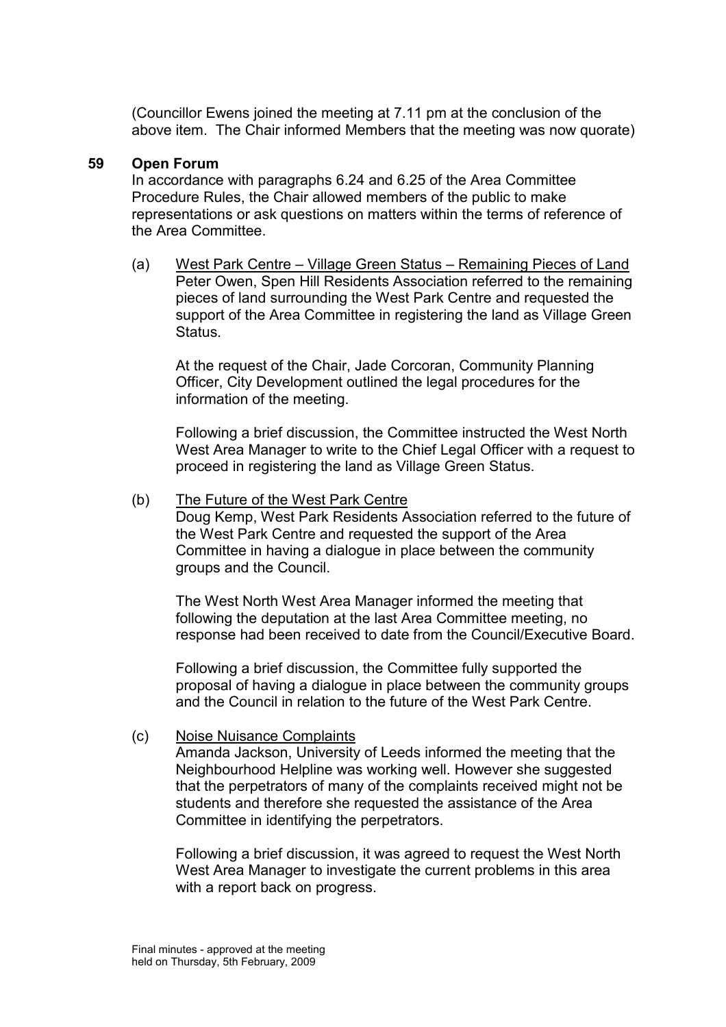(Councillor Ewens joined the meeting at 7.11 pm at the conclusion of the above item. The Chair informed Members that the meeting was now quorate)

#### 59 Open Forum

In accordance with paragraphs 6.24 and 6.25 of the Area Committee Procedure Rules, the Chair allowed members of the public to make representations or ask questions on matters within the terms of reference of the Area Committee.

(a) West Park Centre – Village Green Status – Remaining Pieces of Land Peter Owen, Spen Hill Residents Association referred to the remaining pieces of land surrounding the West Park Centre and requested the support of the Area Committee in registering the land as Village Green **Status** 

 At the request of the Chair, Jade Corcoran, Community Planning Officer, City Development outlined the legal procedures for the information of the meeting.

 Following a brief discussion, the Committee instructed the West North West Area Manager to write to the Chief Legal Officer with a request to proceed in registering the land as Village Green Status.

#### (b) The Future of the West Park Centre

 Doug Kemp, West Park Residents Association referred to the future of the West Park Centre and requested the support of the Area Committee in having a dialogue in place between the community groups and the Council.

 The West North West Area Manager informed the meeting that following the deputation at the last Area Committee meeting, no response had been received to date from the Council/Executive Board.

 Following a brief discussion, the Committee fully supported the proposal of having a dialogue in place between the community groups and the Council in relation to the future of the West Park Centre.

### (c) Noise Nuisance Complaints

 Amanda Jackson, University of Leeds informed the meeting that the Neighbourhood Helpline was working well. However she suggested that the perpetrators of many of the complaints received might not be students and therefore she requested the assistance of the Area Committee in identifying the perpetrators.

 Following a brief discussion, it was agreed to request the West North West Area Manager to investigate the current problems in this area with a report back on progress.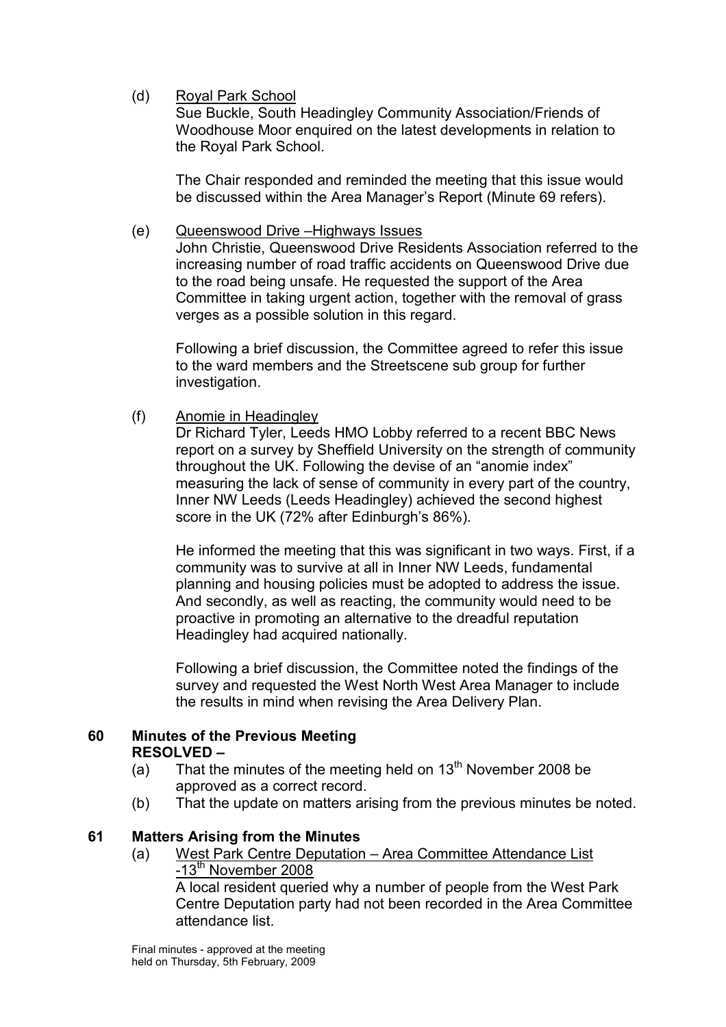(d) Royal Park School

 Sue Buckle, South Headingley Community Association/Friends of Woodhouse Moor enquired on the latest developments in relation to the Royal Park School.

 The Chair responded and reminded the meeting that this issue would be discussed within the Area Manager's Report (Minute 69 refers).

### (e) Queenswood Drive –Highways Issues

 John Christie, Queenswood Drive Residents Association referred to the increasing number of road traffic accidents on Queenswood Drive due to the road being unsafe. He requested the support of the Area Committee in taking urgent action, together with the removal of grass verges as a possible solution in this regard.

 Following a brief discussion, the Committee agreed to refer this issue to the ward members and the Streetscene sub group for further investigation.

(f) Anomie in Headingley

 Dr Richard Tyler, Leeds HMO Lobby referred to a recent BBC News report on a survey by Sheffield University on the strength of community throughout the UK. Following the devise of an "anomie index" measuring the lack of sense of community in every part of the country, Inner NW Leeds (Leeds Headingley) achieved the second highest score in the UK (72% after Edinburgh's 86%).

 He informed the meeting that this was significant in two ways. First, if a community was to survive at all in Inner NW Leeds, fundamental planning and housing policies must be adopted to address the issue. And secondly, as well as reacting, the community would need to be proactive in promoting an alternative to the dreadful reputation Headingley had acquired nationally.

 Following a brief discussion, the Committee noted the findings of the survey and requested the West North West Area Manager to include the results in mind when revising the Area Delivery Plan.

# 60 Minutes of the Previous Meeting RESOLVED –

- (a) That the minutes of the meeting held on  $13<sup>th</sup>$  November 2008 be approved as a correct record.
- (b) That the update on matters arising from the previous minutes be noted.

# 61 Matters Arising from the Minutes

(a) West Park Centre Deputation – Area Committee Attendance List  $-13<sup>th</sup>$  November 2008 A local resident queried why a number of people from the West Park Centre Deputation party had not been recorded in the Area Committee attendance list.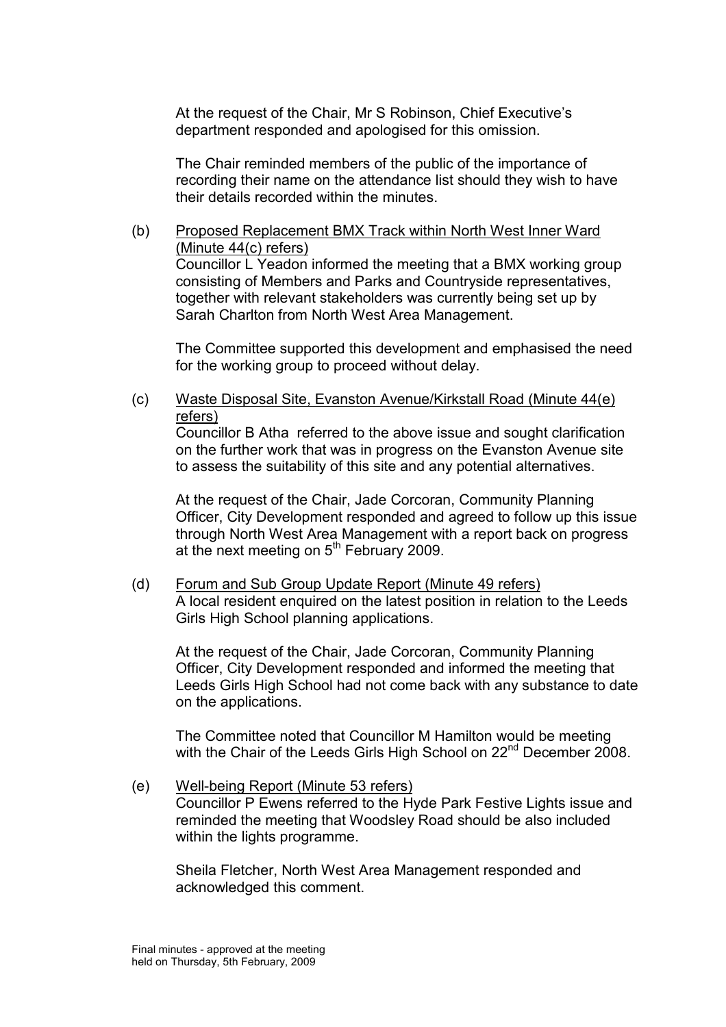At the request of the Chair, Mr S Robinson, Chief Executive's department responded and apologised for this omission.

 The Chair reminded members of the public of the importance of recording their name on the attendance list should they wish to have their details recorded within the minutes.

(b) Proposed Replacement BMX Track within North West Inner Ward (Minute 44(c) refers) Councillor L Yeadon informed the meeting that a BMX working group consisting of Members and Parks and Countryside representatives, together with relevant stakeholders was currently being set up by Sarah Charlton from North West Area Management.

 The Committee supported this development and emphasised the need for the working group to proceed without delay.

(c) Waste Disposal Site, Evanston Avenue/Kirkstall Road (Minute 44(e) refers)

 Councillor B Atha referred to the above issue and sought clarification on the further work that was in progress on the Evanston Avenue site to assess the suitability of this site and any potential alternatives.

 At the request of the Chair, Jade Corcoran, Community Planning Officer, City Development responded and agreed to follow up this issue through North West Area Management with a report back on progress at the next meeting on  $5<sup>th</sup>$  February 2009.

(d) Forum and Sub Group Update Report (Minute 49 refers) A local resident enquired on the latest position in relation to the Leeds Girls High School planning applications.

 At the request of the Chair, Jade Corcoran, Community Planning Officer, City Development responded and informed the meeting that Leeds Girls High School had not come back with any substance to date on the applications.

 The Committee noted that Councillor M Hamilton would be meeting with the Chair of the Leeds Girls High School on 22<sup>nd</sup> December 2008.

(e) Well-being Report (Minute 53 refers) Councillor P Ewens referred to the Hyde Park Festive Lights issue and reminded the meeting that Woodsley Road should be also included within the lights programme.

 Sheila Fletcher, North West Area Management responded and acknowledged this comment.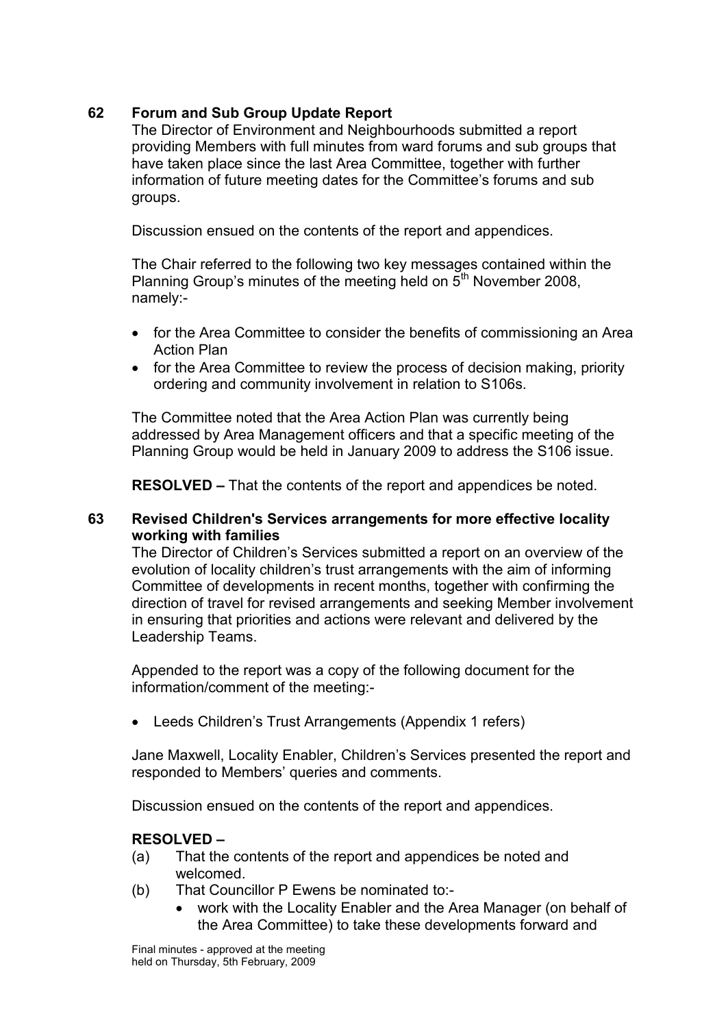# 62 Forum and Sub Group Update Report

The Director of Environment and Neighbourhoods submitted a report providing Members with full minutes from ward forums and sub groups that have taken place since the last Area Committee, together with further information of future meeting dates for the Committee's forums and sub groups.

Discussion ensued on the contents of the report and appendices.

The Chair referred to the following two key messages contained within the Planning Group's minutes of the meeting held on  $5<sup>th</sup>$  November 2008, namely:-

- for the Area Committee to consider the benefits of commissioning an Area Action Plan
- for the Area Committee to review the process of decision making, priority ordering and community involvement in relation to S106s.

The Committee noted that the Area Action Plan was currently being addressed by Area Management officers and that a specific meeting of the Planning Group would be held in January 2009 to address the S106 issue.

RESOLVED – That the contents of the report and appendices be noted.

### 63 Revised Children's Services arrangements for more effective locality working with families

The Director of Children's Services submitted a report on an overview of the evolution of locality children's trust arrangements with the aim of informing Committee of developments in recent months, together with confirming the direction of travel for revised arrangements and seeking Member involvement in ensuring that priorities and actions were relevant and delivered by the Leadership Teams.

Appended to the report was a copy of the following document for the information/comment of the meeting:-

• Leeds Children's Trust Arrangements (Appendix 1 refers)

Jane Maxwell, Locality Enabler, Children's Services presented the report and responded to Members' queries and comments.

Discussion ensued on the contents of the report and appendices.

### RESOLVED –

- (a) That the contents of the report and appendices be noted and welcomed.
- (b) That Councillor P Ewens be nominated to:-
	- work with the Locality Enabler and the Area Manager (on behalf of the Area Committee) to take these developments forward and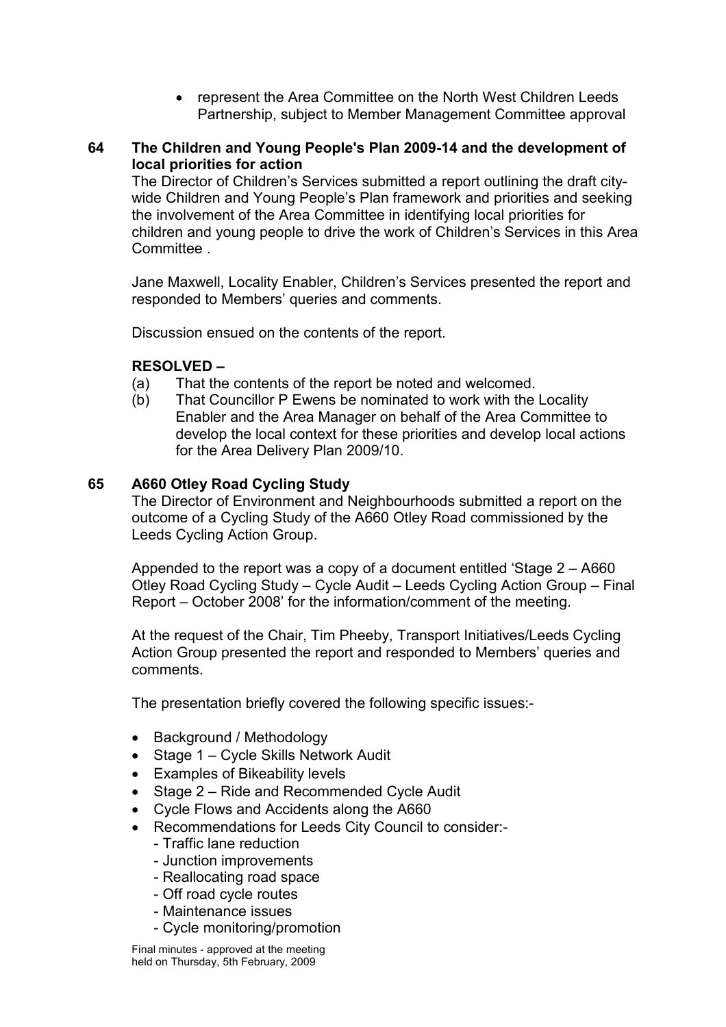• represent the Area Committee on the North West Children Leeds Partnership, subject to Member Management Committee approval

### 64 The Children and Young People's Plan 2009-14 and the development of local priorities for action

The Director of Children's Services submitted a report outlining the draft citywide Children and Young People's Plan framework and priorities and seeking the involvement of the Area Committee in identifying local priorities for children and young people to drive the work of Children's Services in this Area Committee .

Jane Maxwell, Locality Enabler, Children's Services presented the report and responded to Members' queries and comments.

Discussion ensued on the contents of the report.

### RESOLVED –

- (a) That the contents of the report be noted and welcomed.
- (b) That Councillor P Ewens be nominated to work with the Locality Enabler and the Area Manager on behalf of the Area Committee to develop the local context for these priorities and develop local actions for the Area Delivery Plan 2009/10.

### 65 A660 Otley Road Cycling Study

The Director of Environment and Neighbourhoods submitted a report on the outcome of a Cycling Study of the A660 Otley Road commissioned by the Leeds Cycling Action Group.

Appended to the report was a copy of a document entitled 'Stage 2 – A660 Otley Road Cycling Study – Cycle Audit – Leeds Cycling Action Group – Final Report – October 2008' for the information/comment of the meeting.

At the request of the Chair, Tim Pheeby, Transport Initiatives/Leeds Cycling Action Group presented the report and responded to Members' queries and comments.

The presentation briefly covered the following specific issues:-

- Background / Methodology
- Stage 1 Cycle Skills Network Audit
- Examples of Bikeability levels
- Stage 2 Ride and Recommended Cycle Audit
- Cycle Flows and Accidents along the A660
- Recommendations for Leeds City Council to consider:-
	- Traffic lane reduction
	- Junction improvements
	- Reallocating road space
	- Off road cycle routes
	- Maintenance issues
	- Cycle monitoring/promotion

Final minutes - approved at the meeting held on Thursday, 5th February, 2009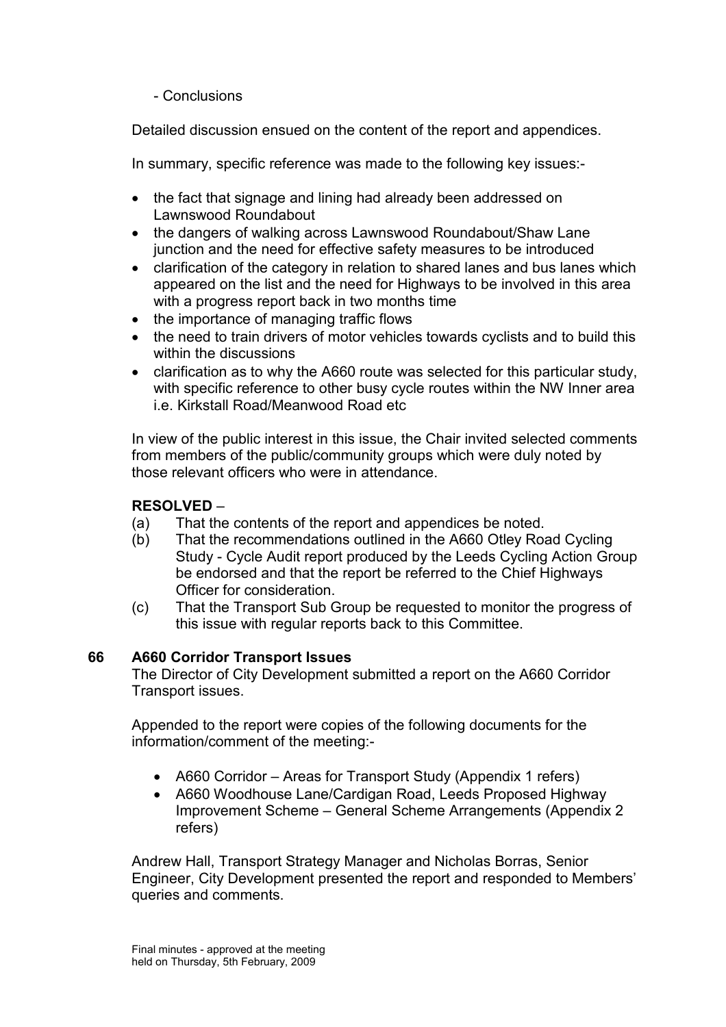- Conclusions

Detailed discussion ensued on the content of the report and appendices.

In summary, specific reference was made to the following key issues:-

- the fact that signage and lining had already been addressed on Lawnswood Roundabout
- the dangers of walking across Lawnswood Roundabout/Shaw Lane junction and the need for effective safety measures to be introduced
- clarification of the category in relation to shared lanes and bus lanes which appeared on the list and the need for Highways to be involved in this area with a progress report back in two months time
- the importance of managing traffic flows
- the need to train drivers of motor vehicles towards cyclists and to build this within the discussions
- clarification as to why the A660 route was selected for this particular study, with specific reference to other busy cycle routes within the NW Inner area i.e. Kirkstall Road/Meanwood Road etc

In view of the public interest in this issue, the Chair invited selected comments from members of the public/community groups which were duly noted by those relevant officers who were in attendance.

# RESOLVED –

- (a) That the contents of the report and appendices be noted.
- (b) That the recommendations outlined in the A660 Otley Road Cycling Study - Cycle Audit report produced by the Leeds Cycling Action Group be endorsed and that the report be referred to the Chief Highways Officer for consideration.
- (c) That the Transport Sub Group be requested to monitor the progress of this issue with regular reports back to this Committee.

# 66 A660 Corridor Transport Issues

The Director of City Development submitted a report on the A660 Corridor Transport issues.

Appended to the report were copies of the following documents for the information/comment of the meeting:-

- A660 Corridor Areas for Transport Study (Appendix 1 refers)
- A660 Woodhouse Lane/Cardigan Road, Leeds Proposed Highway Improvement Scheme – General Scheme Arrangements (Appendix 2 refers)

Andrew Hall, Transport Strategy Manager and Nicholas Borras, Senior Engineer, City Development presented the report and responded to Members' queries and comments.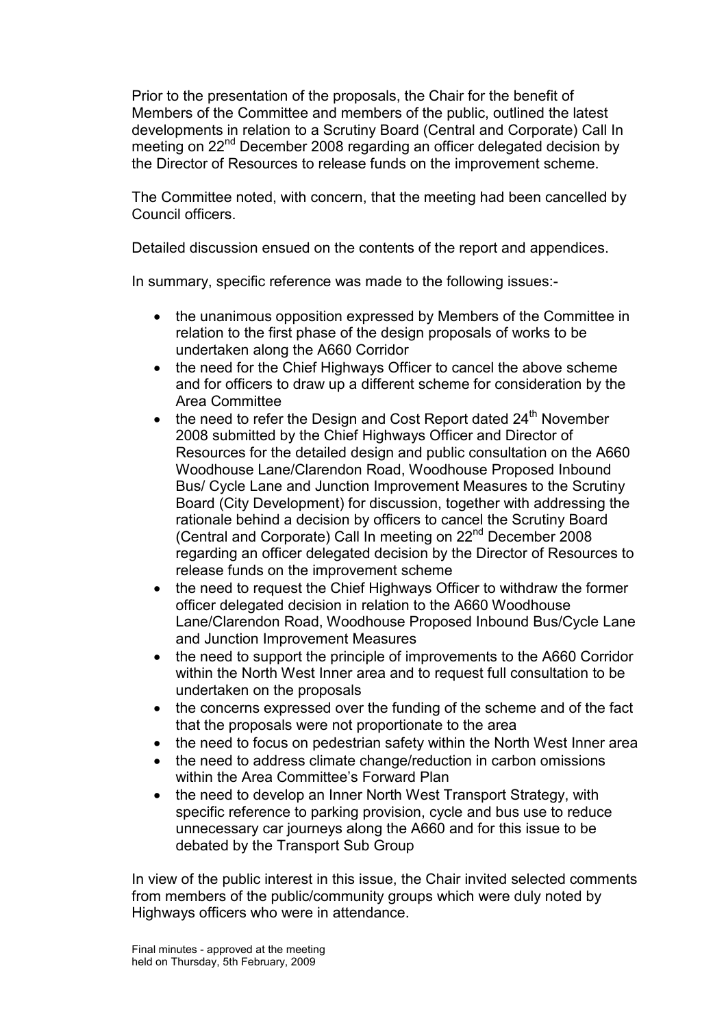Prior to the presentation of the proposals, the Chair for the benefit of Members of the Committee and members of the public, outlined the latest developments in relation to a Scrutiny Board (Central and Corporate) Call In meeting on 22<sup>nd</sup> December 2008 regarding an officer delegated decision by the Director of Resources to release funds on the improvement scheme.

The Committee noted, with concern, that the meeting had been cancelled by Council officers.

Detailed discussion ensued on the contents of the report and appendices.

In summary, specific reference was made to the following issues:-

- the unanimous opposition expressed by Members of the Committee in relation to the first phase of the design proposals of works to be undertaken along the A660 Corridor
- the need for the Chief Highways Officer to cancel the above scheme and for officers to draw up a different scheme for consideration by the Area Committee
- the need to refer the Design and Cost Report dated 24<sup>th</sup> November 2008 submitted by the Chief Highways Officer and Director of Resources for the detailed design and public consultation on the A660 Woodhouse Lane/Clarendon Road, Woodhouse Proposed Inbound Bus/ Cycle Lane and Junction Improvement Measures to the Scrutiny Board (City Development) for discussion, together with addressing the rationale behind a decision by officers to cancel the Scrutiny Board (Central and Corporate) Call In meeting on 22nd December 2008 regarding an officer delegated decision by the Director of Resources to release funds on the improvement scheme
- the need to request the Chief Highways Officer to withdraw the former officer delegated decision in relation to the A660 Woodhouse Lane/Clarendon Road, Woodhouse Proposed Inbound Bus/Cycle Lane and Junction Improvement Measures
- the need to support the principle of improvements to the A660 Corridor within the North West Inner area and to request full consultation to be undertaken on the proposals
- the concerns expressed over the funding of the scheme and of the fact that the proposals were not proportionate to the area
- the need to focus on pedestrian safety within the North West Inner area
- the need to address climate change/reduction in carbon omissions within the Area Committee's Forward Plan
- the need to develop an Inner North West Transport Strategy, with specific reference to parking provision, cycle and bus use to reduce unnecessary car journeys along the A660 and for this issue to be debated by the Transport Sub Group

In view of the public interest in this issue, the Chair invited selected comments from members of the public/community groups which were duly noted by Highways officers who were in attendance.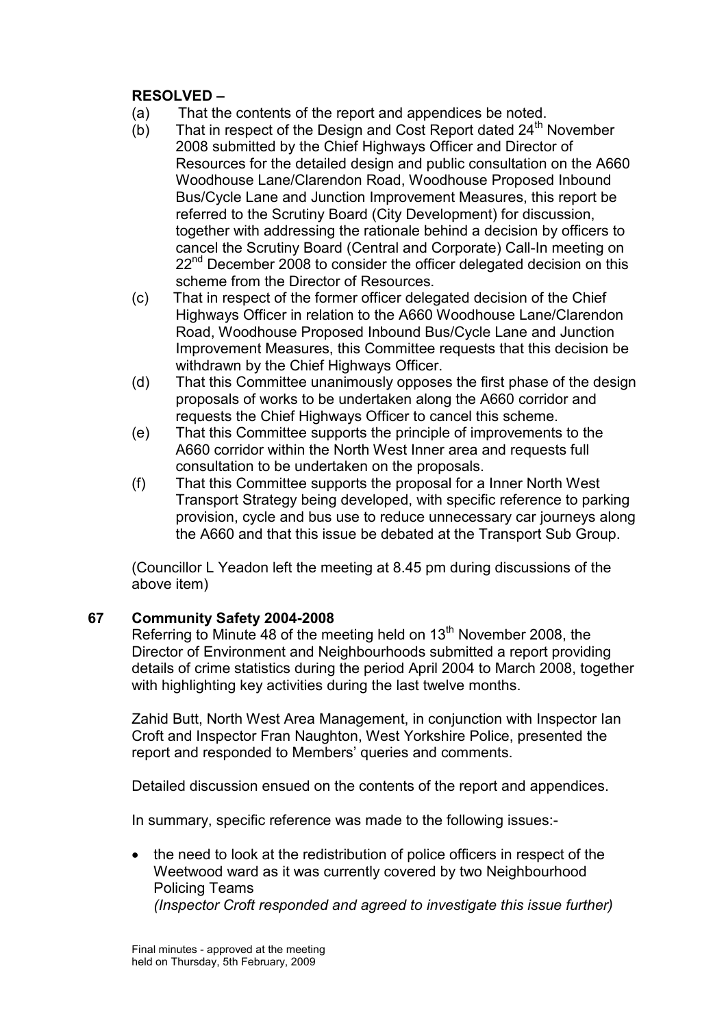## RESOLVED –

- (a) That the contents of the report and appendices be noted.
- (b) That in respect of the Design and Cost Report dated  $24<sup>th</sup>$  November 2008 submitted by the Chief Highways Officer and Director of Resources for the detailed design and public consultation on the A660 Woodhouse Lane/Clarendon Road, Woodhouse Proposed Inbound Bus/Cycle Lane and Junction Improvement Measures, this report be referred to the Scrutiny Board (City Development) for discussion, together with addressing the rationale behind a decision by officers to cancel the Scrutiny Board (Central and Corporate) Call-In meeting on 22<sup>nd</sup> December 2008 to consider the officer delegated decision on this scheme from the Director of Resources.
- (c) That in respect of the former officer delegated decision of the Chief Highways Officer in relation to the A660 Woodhouse Lane/Clarendon Road, Woodhouse Proposed Inbound Bus/Cycle Lane and Junction Improvement Measures, this Committee requests that this decision be withdrawn by the Chief Highways Officer.
- (d) That this Committee unanimously opposes the first phase of the design proposals of works to be undertaken along the A660 corridor and requests the Chief Highways Officer to cancel this scheme.
- (e) That this Committee supports the principle of improvements to the A660 corridor within the North West Inner area and requests full consultation to be undertaken on the proposals.
- (f) That this Committee supports the proposal for a Inner North West Transport Strategy being developed, with specific reference to parking provision, cycle and bus use to reduce unnecessary car journeys along the A660 and that this issue be debated at the Transport Sub Group.

(Councillor L Yeadon left the meeting at 8.45 pm during discussions of the above item)

### 67 Community Safety 2004-2008

Referring to Minute 48 of the meeting held on 13<sup>th</sup> November 2008, the Director of Environment and Neighbourhoods submitted a report providing details of crime statistics during the period April 2004 to March 2008, together with highlighting key activities during the last twelve months.

Zahid Butt, North West Area Management, in conjunction with Inspector Ian Croft and Inspector Fran Naughton, West Yorkshire Police, presented the report and responded to Members' queries and comments.

Detailed discussion ensued on the contents of the report and appendices.

In summary, specific reference was made to the following issues:-

• the need to look at the redistribution of police officers in respect of the Weetwood ward as it was currently covered by two Neighbourhood Policing Teams (Inspector Croft responded and agreed to investigate this issue further)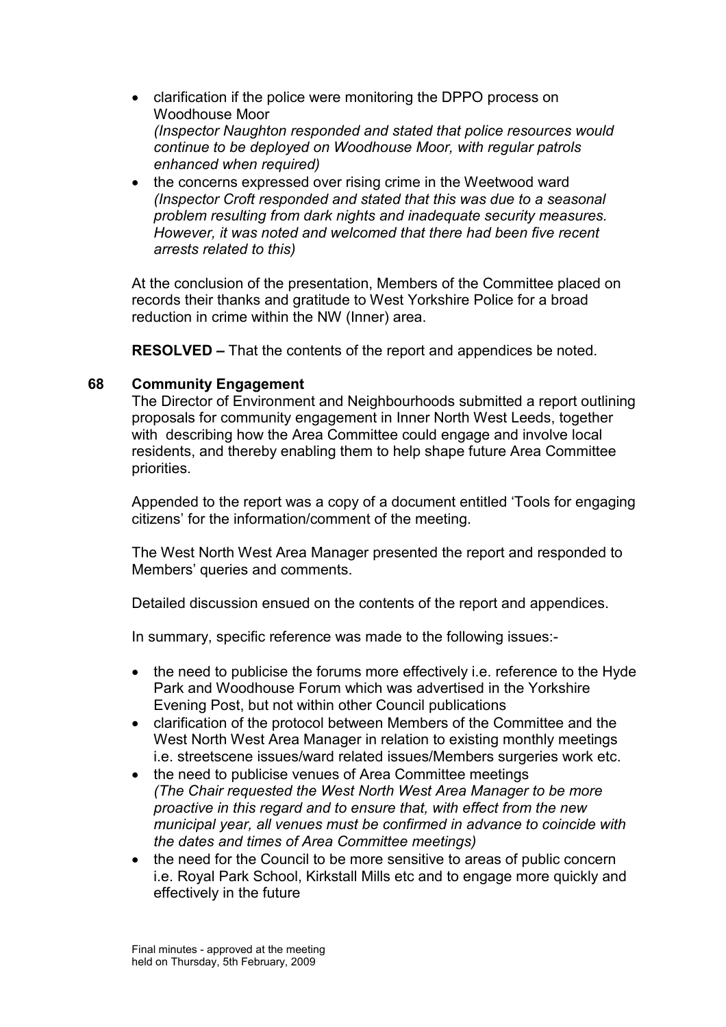- clarification if the police were monitoring the DPPO process on Woodhouse Moor (Inspector Naughton responded and stated that police resources would continue to be deployed on Woodhouse Moor, with regular patrols enhanced when required)
- the concerns expressed over rising crime in the Weetwood ward (Inspector Croft responded and stated that this was due to a seasonal problem resulting from dark nights and inadequate security measures. However, it was noted and welcomed that there had been five recent arrests related to this)

At the conclusion of the presentation, Members of the Committee placed on records their thanks and gratitude to West Yorkshire Police for a broad reduction in crime within the NW (Inner) area.

RESOLVED – That the contents of the report and appendices be noted.

### 68 Community Engagement

The Director of Environment and Neighbourhoods submitted a report outlining proposals for community engagement in Inner North West Leeds, together with describing how the Area Committee could engage and involve local residents, and thereby enabling them to help shape future Area Committee priorities.

Appended to the report was a copy of a document entitled 'Tools for engaging citizens' for the information/comment of the meeting.

The West North West Area Manager presented the report and responded to Members' queries and comments.

Detailed discussion ensued on the contents of the report and appendices.

In summary, specific reference was made to the following issues:-

- the need to publicise the forums more effectively i.e. reference to the Hyde Park and Woodhouse Forum which was advertised in the Yorkshire Evening Post, but not within other Council publications
- clarification of the protocol between Members of the Committee and the West North West Area Manager in relation to existing monthly meetings i.e. streetscene issues/ward related issues/Members surgeries work etc.
- the need to publicise venues of Area Committee meetings (The Chair requested the West North West Area Manager to be more proactive in this regard and to ensure that, with effect from the new municipal year, all venues must be confirmed in advance to coincide with the dates and times of Area Committee meetings)
- the need for the Council to be more sensitive to areas of public concern i.e. Royal Park School, Kirkstall Mills etc and to engage more quickly and effectively in the future